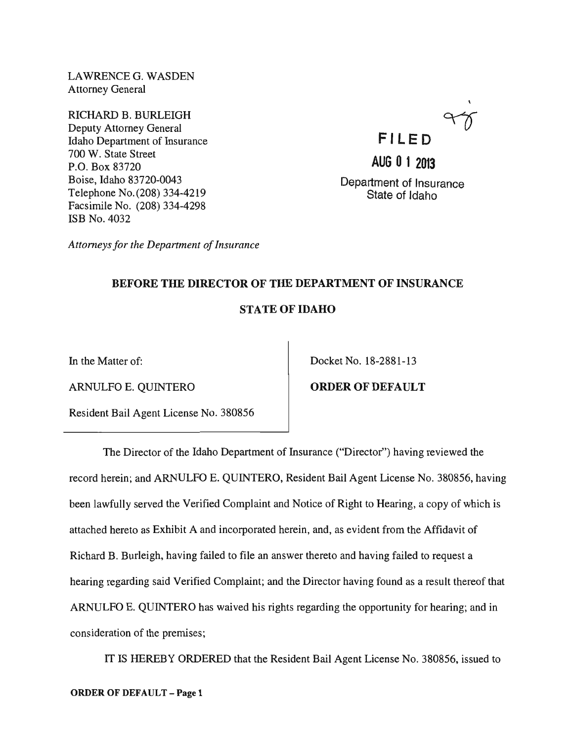LAWRENCEG. WASDEN Attorney General

RICHARD B. BURLEIGH Deputy Attorney General Idaho Department of Insurance 700 W. State Street P.O. Box 83720 Boise, Idaho 83720-0043 Telephone No. (208) 334-4219 Facsimile No. (208) 334-4298 ISB No. 4032

**FILE 0 AUG 0 1 2013** 

Department of Insurance State of Idaho

*Attorneys for the Department of Insurance* 

# BEFORE THE DIRECTOR OF THE DEPARTMENT OF INSURANCE STATE OF IDAHO

ARNULFO E. QUINTERO **ORDER OF DEFAULT** 

Resident Bail Agent License No. 380856

In the Matter of: Docket No. 18-2881-13

The Director of the Idaho Department of Insurance ("Director") having reviewed the record herein; and ARNULFO E. QUINTERO, Resident Bail Agent License No. 380856, having been lawfully served the Verified Complaint and Notice of Right to Hearing, a copy of which is attached hereto as Exhibit A and incorporated herein, and, as evident from the Affidavit of Richard B. Burleigh, having failed to file an answer thereto and having failed to request a hearing regarding said Verified Complaint; and the Director having found as a result thereof that ARNULFO E. QUINTERO has waived his rights regarding the opportunity for hearing; and in consideration of the premises;

IT IS HEREBY ORDERED that the Resident Bail Agent License No. 380856, issued to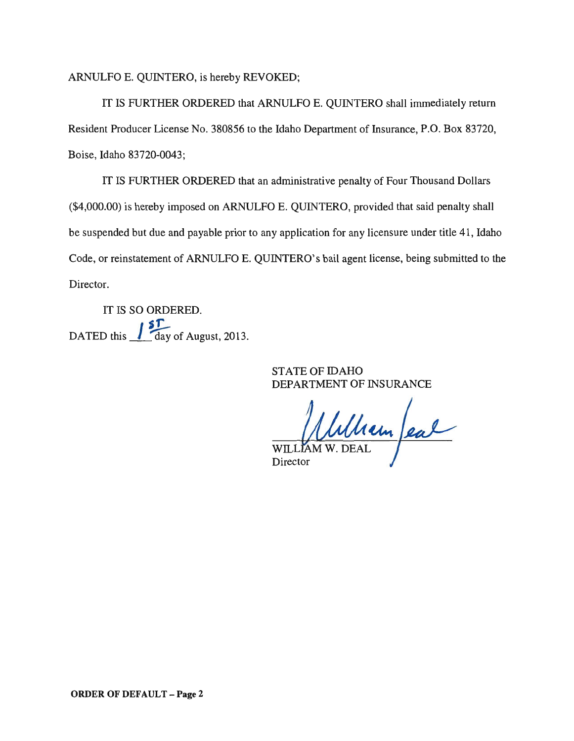ARNULFO E. QUINTERO, is hereby REVOKED;

IT IS FURTHER ORDERED that ARNULFO E. QUINTERO shall immediately return Resident Producer License No. 380856 to the Idaho Department of Insurance, P.O. Box 83720, Boise, Idaho 83720-0043;

IT IS FURTHER ORDERED that an administrative penalty of Four Thousand Dollars (\$4,000.00) is hereby imposed on ARNULFO E. QUINTERO, provided that said penalty shall be suspended but due and payable prior to any application for any licensure under title 41, Idaho Code, or reinstatement of ARNULFO E. QUINTERO's bail agent license, being submitted to the Director.

IT IS SO ORDERED. DATED this  $\frac{15T}{\text{day of August, 2013.}}$ 

> STATE OF IDAHO DEPARTMENT OF INSURANCE

WILLIAM W. DEAL

Director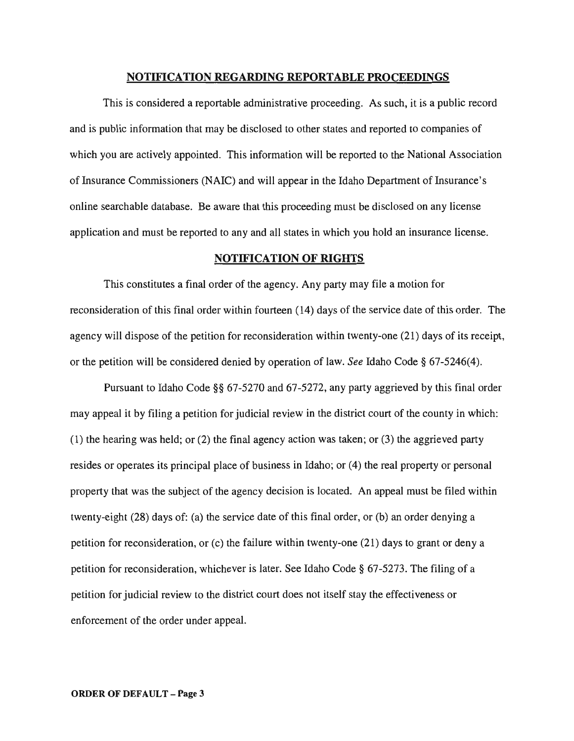#### **NOTIFICATION REGARDING REPORTABLE PROCEEDINGS**

This is considered a reportable administrative proceeding. As such, it is a public record and is public information that may be disclosed to other states and reported to companies of which you are actively appointed. This information will be reported to the National Association of Insurance Commissioners (NAIC) and will appear in the Idaho Department of Insurance's online searchable database. Be aware that this proceeding must be disclosed on any license application and must be reported to any and all states in which you hold an insurance license.

### **NOTIFICATION OF RIGHTS**

This constitutes a final order of the agency. Any party may file a motion for reconsideration of this final order within fourteen (14) days of the service date of this order. The agency will dispose of the petition for reconsideration within twenty-one (21) days of its receipt, or the petition will be considered denied by operation of law. *See* Idaho Code § 67-5246(4).

Pursuant to Idaho Code §§ 67-5270 and 67-5272, any party aggrieved by this final order may appeal it by filing a petition for judicial review in the district court of the county in which: (1) the hearing was held; or (2) the final agency action was taken; or (3) the aggrieved party resides or operates its principal place of business in Idaho; or (4) the real property or personal property that was the subject of the agency decision is located. An appeal must be filed within twenty-eight (28) days of: (a) the service date of this final order, or (b) an order denying a petition for reconsideration, or (c) the failure within twenty-one (21) days to grant or deny a petition for reconsideration, whichever is later. See Idaho Code § 67-5273. The filing of a petition for judicial review to the district court does not itself stay the effectiveness or enforcement of the order under appeal.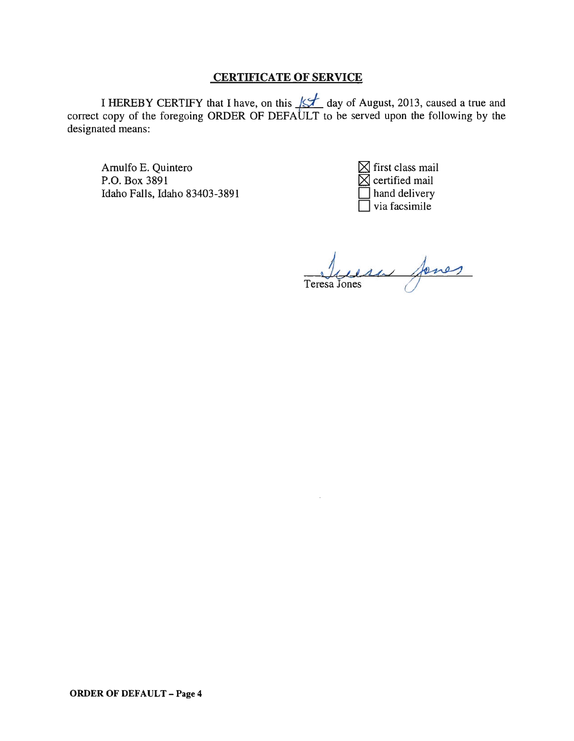# CERTIFICATE OF SERVICE

I HEREBY CERTIFY that I have, on this  $\sharp$  day of August, 2013, caused a true and correct copy of the foregoing ORDER OF DEFAULT to be served upon the following by the designated means:

Amulfo E. Quintero P.O. Box 3891 Idaho Falls, Idaho 83403-3891

 $\boxtimes$  first class mail  $\boxtimes$  certified mail hand delivery via facsimile

Teresa Jones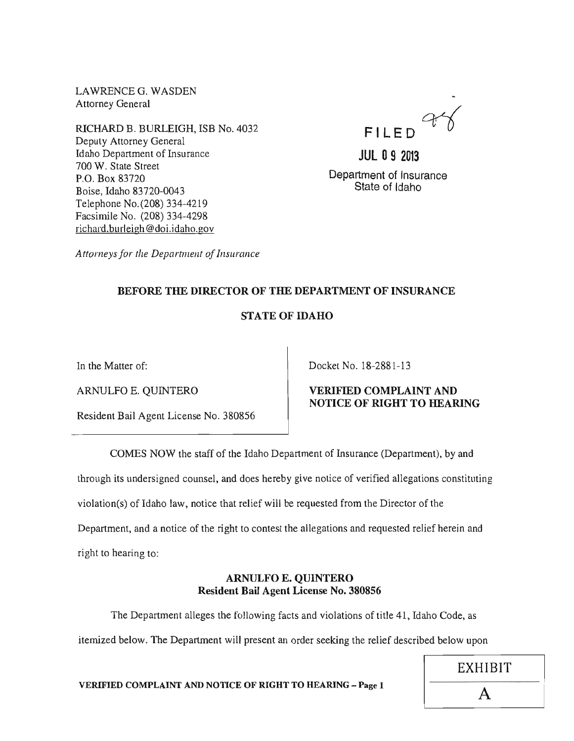LAWRENCEG. WASDEN Attorney General

RICHARD B. BURLEIGH, ISB No. 4032 Deputy Attorney General Idaho Department of Insurance 700 W. State Street P.O. Box 83720 Boise, Idaho 83720-0043 Telephone No. (208) 334-4219 Facsimile No. (208) 334-4298 richard.burleigh@doi.idaho.gov



**JUL 09 2013**  Department of Insurance State of Idaho

*Attorneys for the Department of Insurance* 

# BEFORE THE DIRECTOR OF THE DEPARTMENT OF INSURANCE

# STATE OF IDAHO

Resident Bail Agent License No. 380856

In the Matter of: Docket No. 18-2881-13

# ARNULFO E. QUINTERO VERIFIED COMPLAINT AND NOTICE OF RIGHT TO HEARING

COMES NOW the staff of the Idaho Department of Insurance (Department), by and

through its undersigned counsel, and does hereby give notice of verified allegations constituting

violation(s) of Idaho law, notice that relief will be requested from the Director of the

Department, and a notice of the right to contest the allegations and requested relief herein and

right to hearing to:

# ARNULFO E. QUINTERO Resident Bail Agent License No. 380856

The Department alleges the following facts and violations of title 41, Idaho Code, as itemized below. The Department will present an order seeking the relief described below upon

VERIFIED COMPLAINT AND NOTICE OF RIGHT TO HEARING - Page 1  $\overline{A}$ 

EXHIBIT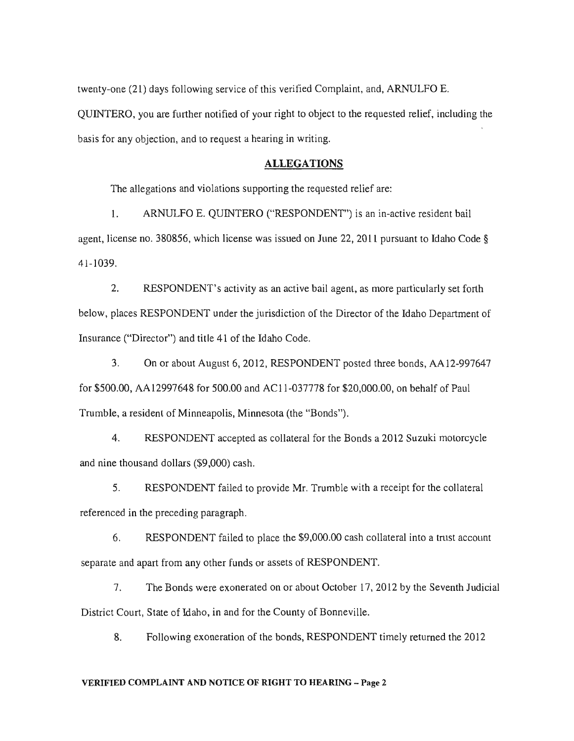twenty-one (21) days following service of this verified Complaint, and, ARNULFO E. QUINTERO, you are further notified of your right to object to the requested relief, including the basis for any objection, and to request a hearing in writing.

### ALLEGATIONS

The allegations and violations supporting the requested relief are:

1. ARNULFO E. QUINTERO ("RESPONDENT") is an in-active resident bail agent, license no. 380856, which license was issued on June 22, 2011 pursuant to Idaho Code § 41-1039.

2. RESPONDENT's activity as an active bail agent, as more particularly set forth below, places RESPONDENT under the jurisdiction of the Director of the Idaho Department of Insurance ("Director") and title 41 of the Idaho Code.

3. On or about August 6, 2012, RESPONDENT posted three bonds, AA12-997647 for \$500.00, AA12997648 for 500.00 and ACII-037778 for \$20,000.00, on behalf of Paul Trumble, a resident of Minneapolis, Minnesota (the "Bonds").

4. RESPONDENT accepted as collateral for the Bonds a 2012 Suzuki motorcycle and nine thousand dollars (\$9,000) cash.

5. RESPONDENT failed to provide Mr. Trumble with a receipt for the collateral referenced in the preceding paragraph.

6. RESPONDENT failed to place the \$9,000.00 cash collateral into a trust account separate and apart from any other funds or assets of RESPONDENT.

7. The Bonds were exonerated on or about October 17,2012 by the Seventh Judicial District Court, State of Idaho, in and for the County of Bonneville.

8. Following exoneration of the bonds, RESPONDENT timely returned the 2012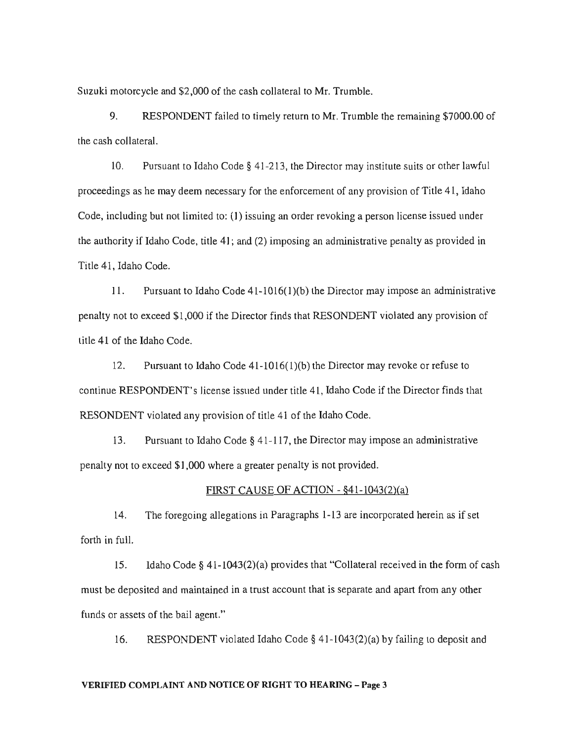Suzuki motorcycle and \$2,000 of the cash collateral to Mr. Trumble.

9. RESPONDENT failed to timely return to Mr. Trumble the remaining \$7000.00 of the cash collateral.

10. Pursuant to Idaho Code § 41-213, the Director may institute suits or other lawful proceedings as he may deem necessary for the enforcement of any provision of Title 41, Idaho Code, including but not limited to: (1) issuing an order revoking a person license issued under the authority if Idaho Code, title 41; and (2) imposing an administrative penalty as provided in Title 41, Idaho Code.

II. Pursuant to Idaho Code 41-10 16( I )(b) the Director may impose an administrative penalty not to exceed \$1,000 if the Director finds that RESONDENT violated any provision of title 41 of the Idaho Code.

12. Pursuant to Idaho Code 41-1016(l)(b) the Director may revoke or refuse to continue RESPONDENT's license issued under title 41, Idaho Code if the Director finds that RESONDENT violated any provision of title 41 of the Idaho Code.

13. Pursuant to Idaho Code § 41-117, the Director may impose an administrative penalty not to exceed \$1,000 where a greater penalty is not provided.

### FIRST CAUSE OF ACTION - §41-1043(2)(a)

14. The foregoing allegations in Paragraphs 1-13 are incorporated herein as if set forth in full.

15. Idaho Code § 41-1043(2)(a) provides that "Collateral received in the form of cash must be deposited and maintained in a trust account that is separate and apart from any other funds or assets of the bail agent."

16. RESPONDENT violated Idaho Code § 41-1043(2)(a) by failing to deposit and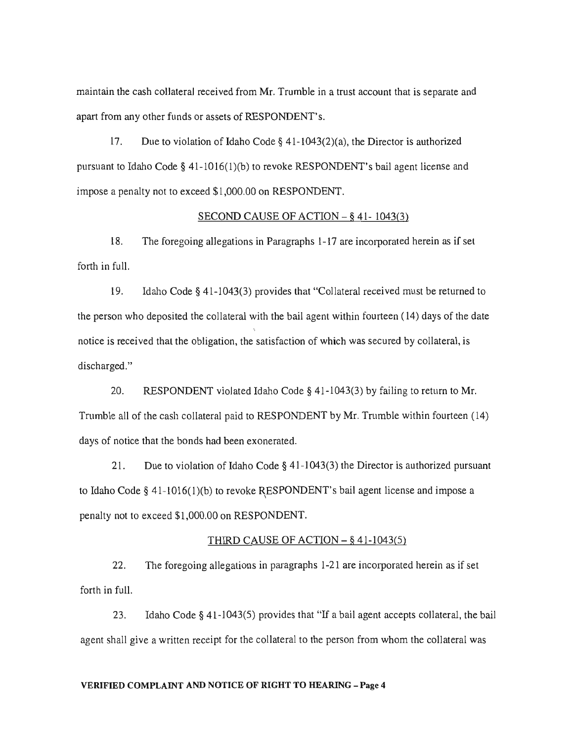maintain the cash collateral received from Mr. Trumble in a trust account that is separate and apart from any other funds or assets of RESPONDENT's.

17. Due to violation of Idaho Code § 41-1043(2)(a), the Director is authorized pursuant to Idaho Code § 41-1016(1)(b) to revoke RESPONDENT's bail agent license and impose a penalty not to exceed \$1,000.00 on RESPONDENT.

## SECOND CAUSE OF ACTION  $-$  § 41-1043(3)

18. The foregoing allegations in Paragraphs 1-17 are incorporated herein as if set forth in full.

19. Idaho Code § 41-1043(3) provides that "Collateral received must be returned to the person who deposited the collateral with the bail agent within fourteen (14) days of the date  $\ddot{\phantom{0}}$ notice is received that the obligation, the satisfaction of which was secured by collateral, is discharged."

20. RESPONDENT violated Idaho Code § 41-1043(3) by failing to return to Mr. Trumble all of the cash collateral paid to RESPONDENT by Mr. Trumble within fourteen (14) days of notice that the bonds had been exonerated.

21. Due to violation of Idaho Code § 41-1043(3) the Director is authorized pursuant to Idaho Code § 41-1016(1)(b) to revoke RESPONDENT's bail agent license and impose a penalty not to exceed \$1,000.00 on RESPONDENT.

#### THIRD CAUSE OF ACTION  $-$  § 41-1043(5)

22. The foregoing allegations in paragraphs 1-21 are incorporated herein as if set forth in full.

23. Idaho Code § 41-1043(5) provides that "If a bail agent accepts collateral, the bail agent shall give a written receipt for the collateral to the person from whom the collateral was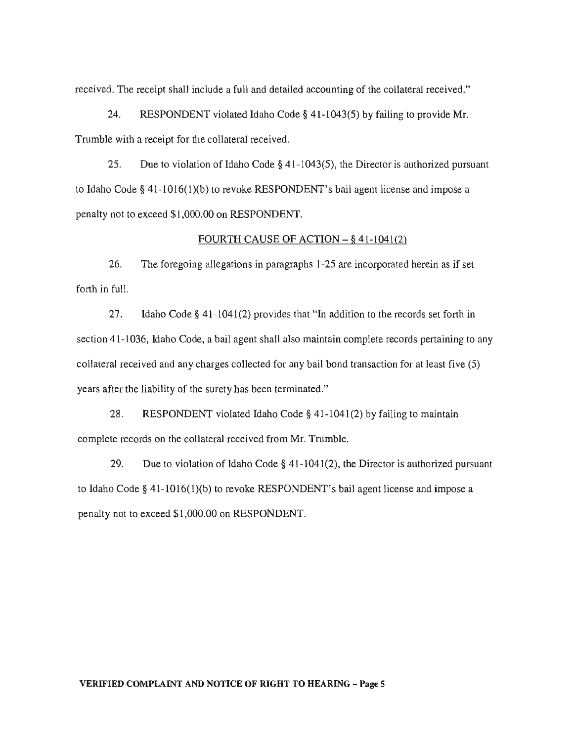received. The receipt shall include a full and detailed accounting of the collateral received."

24. RESPONDENT violated Idaho Code § 41-1043(5) by failing to provide Mr. Trumble with a receipt for the collateral received.

25. Due to violation of Idaho Code § 41-1043(5), the Director is authorized pursuant to Idaho Code § 41-1016(1)(b) to revoke RESPONDENT's bail agent license and impose a penalty not to exceed \$1,000.00 on RESPONDENT.

#### FOURTH CAUSE OF ACTION  $-$  § 41-1041(2)

26. The foregoing allegations in paragraphs 1-25 are incorporated herein as if set forth in full.

27. Idaho Code § 41-1041(2) provides that "In addition to the records set forth in section 41-1036, Idaho Code, a bail agent shall also maintain complete records pertaining to any collateral received and any charges collected for any bail bond transaction for at least five (5) years after the liability of the surety has been terminated."

28. RESPONDENT violated Idaho Code § 41-1041(2) by failing to maintain complete records on the collateral received from Mr. Trumble.

29. Due to violation of Idaho Code  $\S$  41-1041(2), the Director is authorized pursuant to Idaho Code § 41-1016(1)(b) to revoke RESPONDENT's bail agent license and impose a penalty not to exceed \$1,000.00 on RESPONDENT.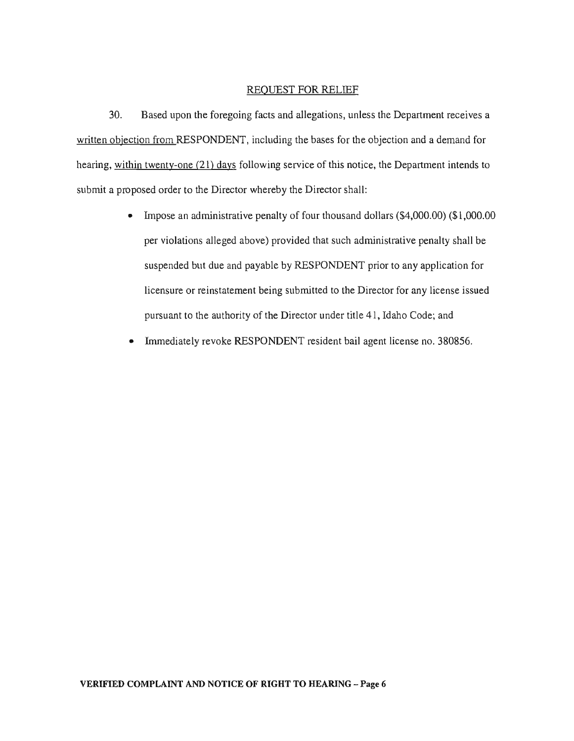#### REQUEST FOR RELIEF

30. Based upon the foregoing facts and allegations, unless the Department receives a written objection from RESPONDENT, including the bases for the objection and a demand for hearing, within twenty-one (21) days following service of this notice, the Department intends to submit a proposed order to the Director whereby the Director shall:

- Impose an administrative penalty of four thousand dollars (\$4,000.00) (\$1,000.00) per violations alleged above) provided that such administrative penalty shall be suspended but due and payable by RESPONDENT prior to any application for licensure or reinstatement being submitted to the Director for any license issued pursuant to the authority of the Director under title 41, Idaho Code; and
- Immediately revoke RESPONDENT resident bail agent license no. 380856.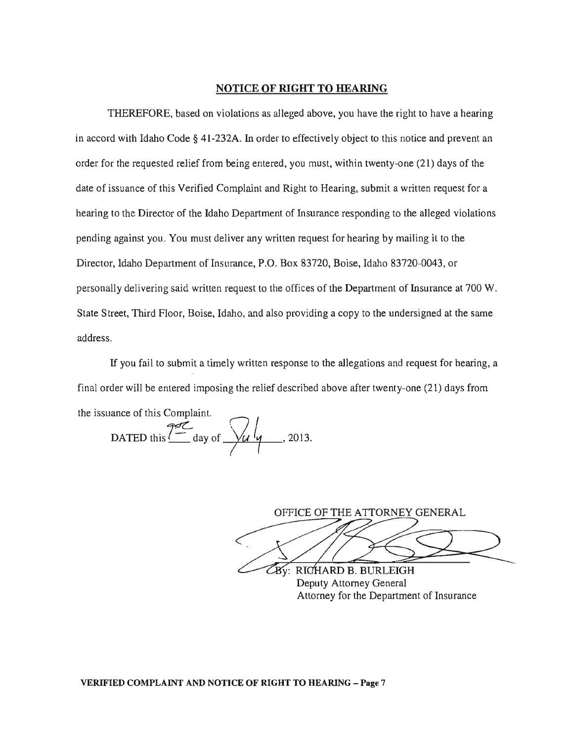### NOTICE OF RIGHT TO HEARING

THEREFORE, based on violations as alleged above, you have the right to have a hearing in accord with Idaho Code § 41-232A. In order to effectively object to this notice and prevent an order for the requested relief from being entered, you must, within twenty-one (21) days of the date of issuance of this Verified Complaint and Right to Hearing, submit a written request for a hearing to the Director of the Idaho Department of Insurance responding to the alleged violations pending against you. You must deliver any written request for hearing by mailing it to the Director, Idaho Department of Insurance, P.O. Box 83720, Boise, Idaho 83720-0043, or personally delivering said written request to the offices of the Department of Insurance at 700 W. State Street, Third Floor, Boise, Idaho, and also providing a copy to the undersigned at the same address.

If you fail to submit a timely written response to the allegations and request for hearing, a final order will be entered imposing the relief described above after twenty-one (21) days from the issuance of this Complaint.

DATED this  $\frac{242}{1}$  day of  $\frac{1}{2}$   $\frac{1}{4}$ , 2013.

OFFICE OF THE ATTORNEY GENERAL<br>By: RICHARD B. BURLEIGH

Deputy Attorney General Attorney for the Department of Insurance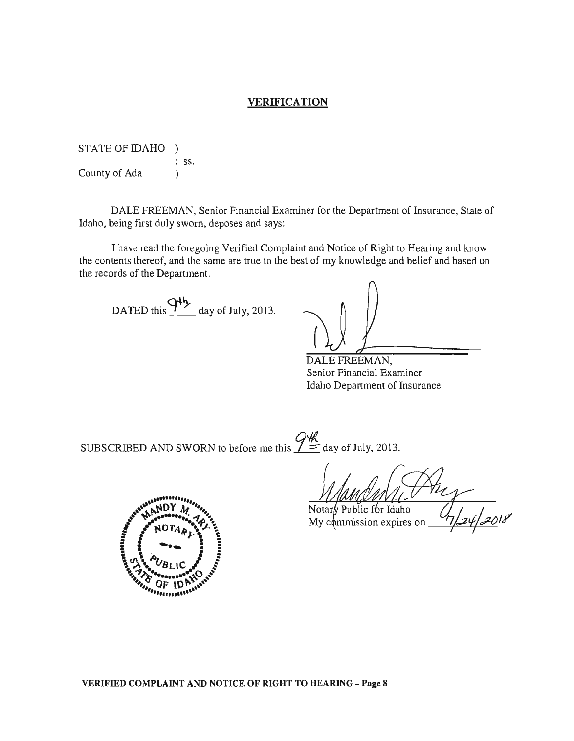### VERIFICATION

STATE OF IDAHO ) : ss. County of Ada (b)

DALE FREEMAN, Senior Financial Examiner for the Department of Insurance, State of Idaho, being first duly sworn, deposes and says:

I have read the foregoing Verified Complaint and Notice of Right to Hearing and know the contents thereof, and the same are true to the best of my knowledge and belief and based on the records of the Department.

DATED this  $94\frac{1}{2}$  day of July, 2013.

DALE FREEMAN, Senior Financial Examiner Idaho Department of Insurance

SUBSCRIBED AND SWORN to before me this  $\frac{Q \#}{Z}$  day of July, 2013.

Notary Public for Idaho My commission expires on